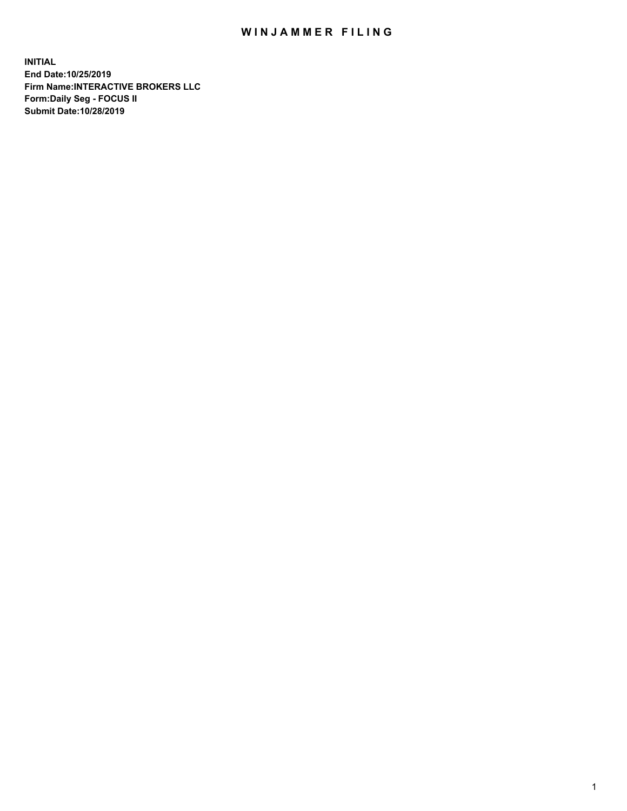## WIN JAMMER FILING

**INITIAL End Date:10/25/2019 Firm Name:INTERACTIVE BROKERS LLC Form:Daily Seg - FOCUS II Submit Date:10/28/2019**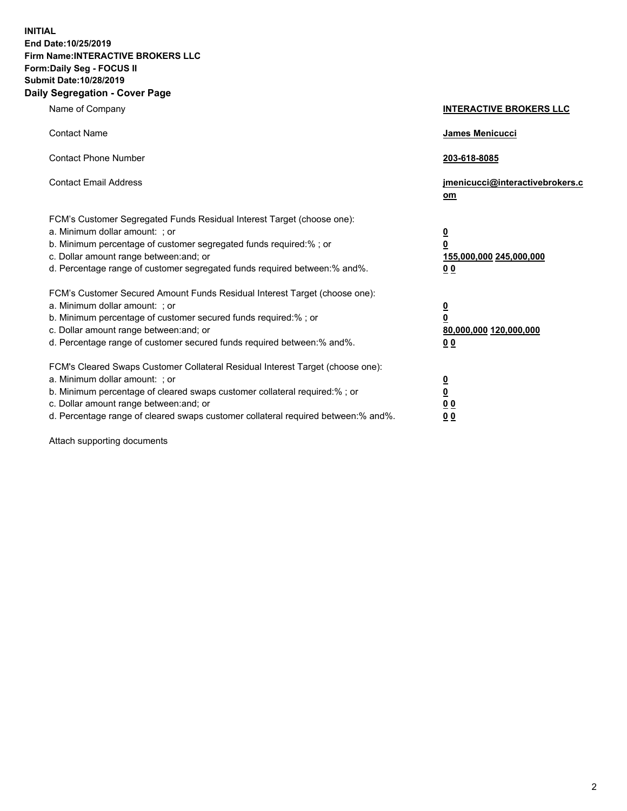**INITIAL End Date:10/25/2019 Firm Name:INTERACTIVE BROKERS LLC Form:Daily Seg - FOCUS II Submit Date:10/28/2019 Daily Segregation - Cover Page**

| Name of Company                                                                                                                                                                                                                                                                                                                | <b>INTERACTIVE BROKERS LLC</b>                                                                  |
|--------------------------------------------------------------------------------------------------------------------------------------------------------------------------------------------------------------------------------------------------------------------------------------------------------------------------------|-------------------------------------------------------------------------------------------------|
| <b>Contact Name</b>                                                                                                                                                                                                                                                                                                            | James Menicucci                                                                                 |
| <b>Contact Phone Number</b>                                                                                                                                                                                                                                                                                                    | 203-618-8085                                                                                    |
| <b>Contact Email Address</b>                                                                                                                                                                                                                                                                                                   | jmenicucci@interactivebrokers.c<br>om                                                           |
| FCM's Customer Segregated Funds Residual Interest Target (choose one):<br>a. Minimum dollar amount: ; or<br>b. Minimum percentage of customer segregated funds required:%; or<br>c. Dollar amount range between: and; or<br>d. Percentage range of customer segregated funds required between:% and%.                          | $\overline{\mathbf{0}}$<br>$\overline{\mathbf{0}}$<br>155,000,000 245,000,000<br>0 <sub>0</sub> |
| FCM's Customer Secured Amount Funds Residual Interest Target (choose one):<br>a. Minimum dollar amount: ; or<br>b. Minimum percentage of customer secured funds required:% ; or<br>c. Dollar amount range between: and; or<br>d. Percentage range of customer secured funds required between:% and%.                           | $\overline{\mathbf{0}}$<br>$\overline{\mathbf{0}}$<br>80,000,000 120,000,000<br>0 <sub>0</sub>  |
| FCM's Cleared Swaps Customer Collateral Residual Interest Target (choose one):<br>a. Minimum dollar amount: ; or<br>b. Minimum percentage of cleared swaps customer collateral required:% ; or<br>c. Dollar amount range between: and; or<br>d. Percentage range of cleared swaps customer collateral required between:% and%. | $\overline{\mathbf{0}}$<br>$\underline{\mathbf{0}}$<br>0 <sub>0</sub><br>0 <sub>0</sub>         |

Attach supporting documents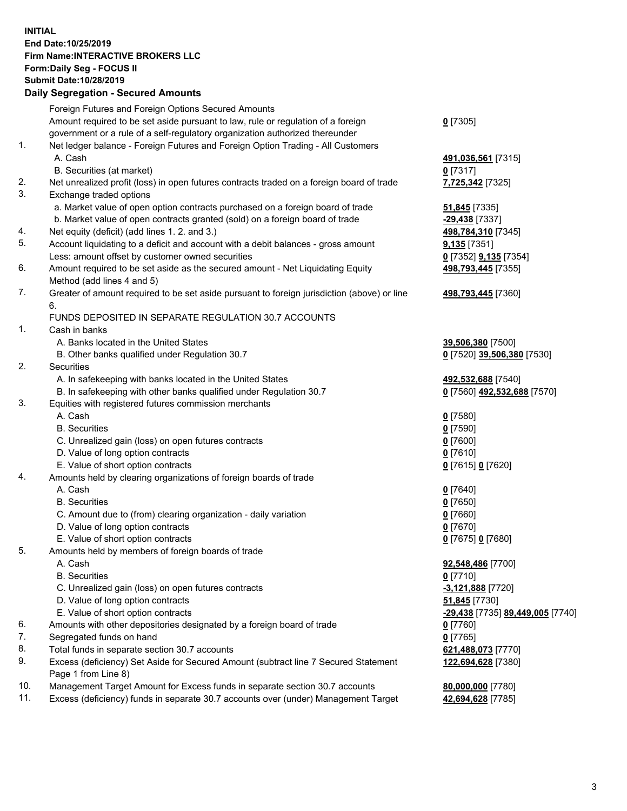## **INITIAL End Date:10/25/2019 Firm Name:INTERACTIVE BROKERS LLC Form:Daily Seg - FOCUS II Submit Date:10/28/2019 Daily Segregation - Secured Amounts**

|     | Daily Segregation - Secured Amounts                                                                  |                                                |
|-----|------------------------------------------------------------------------------------------------------|------------------------------------------------|
|     | Foreign Futures and Foreign Options Secured Amounts                                                  |                                                |
|     | Amount required to be set aside pursuant to law, rule or regulation of a foreign                     | $0$ [7305]                                     |
|     | government or a rule of a self-regulatory organization authorized thereunder                         |                                                |
| 1.  | Net ledger balance - Foreign Futures and Foreign Option Trading - All Customers                      |                                                |
|     | A. Cash                                                                                              | 491,036,561 [7315]                             |
|     | B. Securities (at market)                                                                            | $0$ [7317]                                     |
| 2.  | Net unrealized profit (loss) in open futures contracts traded on a foreign board of trade            | 7,725,342 [7325]                               |
| 3.  | Exchange traded options                                                                              |                                                |
|     | a. Market value of open option contracts purchased on a foreign board of trade                       | <b>51,845</b> [7335]                           |
|     | b. Market value of open contracts granted (sold) on a foreign board of trade                         | -29,438 [7337]                                 |
| 4.  | Net equity (deficit) (add lines 1. 2. and 3.)                                                        | 498,784,310 [7345]                             |
| 5.  | Account liquidating to a deficit and account with a debit balances - gross amount                    | 9,135 [7351]                                   |
|     | Less: amount offset by customer owned securities                                                     | 0 [7352] <b>9,135</b> [7354]                   |
| 6.  | Amount required to be set aside as the secured amount - Net Liquidating Equity                       | 498,793,445 [7355]                             |
|     | Method (add lines 4 and 5)                                                                           |                                                |
| 7.  | Greater of amount required to be set aside pursuant to foreign jurisdiction (above) or line          | 498,793,445 [7360]                             |
|     | 6.                                                                                                   |                                                |
|     | FUNDS DEPOSITED IN SEPARATE REGULATION 30.7 ACCOUNTS                                                 |                                                |
| 1.  | Cash in banks                                                                                        |                                                |
|     | A. Banks located in the United States                                                                | 39,506,380 [7500]                              |
|     | B. Other banks qualified under Regulation 30.7                                                       | 0 [7520] 39,506,380 [7530]                     |
| 2.  | <b>Securities</b>                                                                                    |                                                |
|     | A. In safekeeping with banks located in the United States                                            | 492,532,688 [7540]                             |
|     | B. In safekeeping with other banks qualified under Regulation 30.7                                   | 0 [7560] 492,532,688 [7570]                    |
| 3.  | Equities with registered futures commission merchants                                                |                                                |
|     | A. Cash                                                                                              | $0$ [7580]                                     |
|     | <b>B.</b> Securities                                                                                 | $0$ [7590]                                     |
|     | C. Unrealized gain (loss) on open futures contracts                                                  | $0$ [7600]                                     |
|     | D. Value of long option contracts                                                                    | $0$ [7610]                                     |
|     | E. Value of short option contracts                                                                   | 0 [7615] 0 [7620]                              |
| 4.  | Amounts held by clearing organizations of foreign boards of trade                                    |                                                |
|     | A. Cash                                                                                              | $0$ [7640]                                     |
|     | <b>B.</b> Securities                                                                                 | $0$ [7650]                                     |
|     |                                                                                                      |                                                |
|     | C. Amount due to (from) clearing organization - daily variation<br>D. Value of long option contracts | $0$ [7660]                                     |
|     |                                                                                                      | $0$ [7670]                                     |
| 5.  | E. Value of short option contracts                                                                   | 0 [7675] 0 [7680]                              |
|     | Amounts held by members of foreign boards of trade                                                   |                                                |
|     | A. Cash                                                                                              | 92,548,486 [7700]                              |
|     | <b>B.</b> Securities                                                                                 | $0$ [7710]                                     |
|     | C. Unrealized gain (loss) on open futures contracts                                                  | $-3,121,888$ [7720]                            |
|     | D. Value of long option contracts                                                                    | 51,845 [7730]                                  |
|     | E. Value of short option contracts                                                                   | <u>-29,438</u> [7735] <u>89,449,005</u> [7740] |
| 6.  | Amounts with other depositories designated by a foreign board of trade                               | $0$ [7760]                                     |
| 7.  | Segregated funds on hand                                                                             | $0$ [7765]                                     |
| 8.  | Total funds in separate section 30.7 accounts                                                        | 621,488,073 [7770]                             |
| 9.  | Excess (deficiency) Set Aside for Secured Amount (subtract line 7 Secured Statement                  | 122,694,628 [7380]                             |
|     | Page 1 from Line 8)                                                                                  |                                                |
| 10. | Management Target Amount for Excess funds in separate section 30.7 accounts                          | 80,000,000 [7780]                              |
| 11. | Excess (deficiency) funds in separate 30.7 accounts over (under) Management Target                   | 42,694,628 [7785]                              |
|     |                                                                                                      |                                                |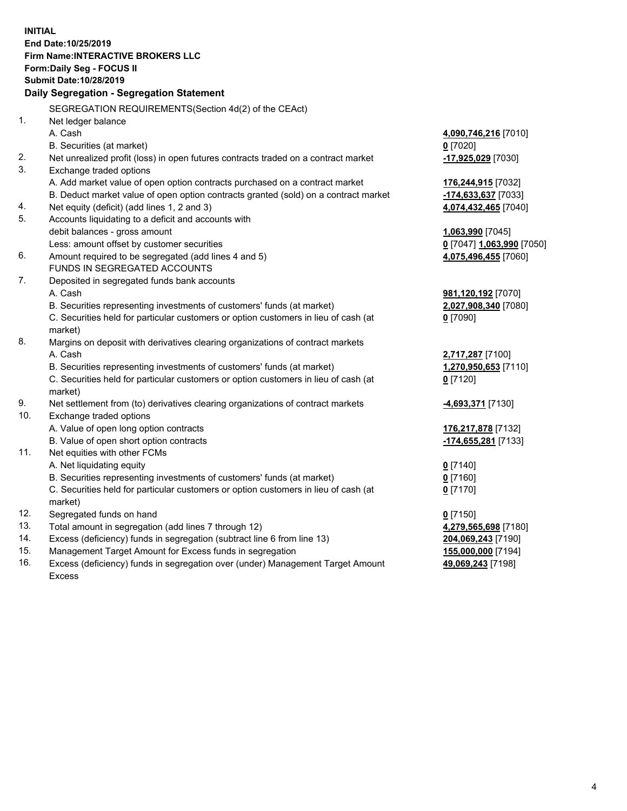**INITIAL End Date:10/25/2019 Firm Name:INTERACTIVE BROKERS LLC Form:Daily Seg - FOCUS II Submit Date:10/28/2019 Daily Segregation - Segregation Statement** SEGREGATION REQUIREMENTS(Section 4d(2) of the CEAct) 1. Net ledger balance A. Cash **4,090,746,216** [7010] B. Securities (at market) **0** [7020] 2. Net unrealized profit (loss) in open futures contracts traded on a contract market **-17,925,029** [7030] 3. Exchange traded options A. Add market value of open option contracts purchased on a contract market **176,244,915** [7032] B. Deduct market value of open option contracts granted (sold) on a contract market **-174,633,637** [7033] 4. Net equity (deficit) (add lines 1, 2 and 3) **4,074,432,465** [7040] 5. Accounts liquidating to a deficit and accounts with debit balances - gross amount **1,063,990** [7045] Less: amount offset by customer securities **0** [7047] **1,063,990** [7050] 6. Amount required to be segregated (add lines 4 and 5) **4,075,496,455** [7060] FUNDS IN SEGREGATED ACCOUNTS 7. Deposited in segregated funds bank accounts A. Cash **981,120,192** [7070] B. Securities representing investments of customers' funds (at market) **2,027,908,340** [7080] C. Securities held for particular customers or option customers in lieu of cash (at market) **0** [7090] 8. Margins on deposit with derivatives clearing organizations of contract markets A. Cash **2,717,287** [7100] B. Securities representing investments of customers' funds (at market) **1,270,950,653** [7110] C. Securities held for particular customers or option customers in lieu of cash (at market) **0** [7120] 9. Net settlement from (to) derivatives clearing organizations of contract markets **-4,693,371** [7130] 10. Exchange traded options A. Value of open long option contracts **176,217,878** [7132] B. Value of open short option contracts **-174,655,281** [7133] 11. Net equities with other FCMs A. Net liquidating equity **0** [7140] B. Securities representing investments of customers' funds (at market) **0** [7160] C. Securities held for particular customers or option customers in lieu of cash (at market) **0** [7170] 12. Segregated funds on hand **0** [7150] 13. Total amount in segregation (add lines 7 through 12) **4,279,565,698** [7180] 14. Excess (deficiency) funds in segregation (subtract line 6 from line 13) **204,069,243** [7190] 15. Management Target Amount for Excess funds in segregation **155,000,000** [7194] **49,069,243** [7198]

16. Excess (deficiency) funds in segregation over (under) Management Target Amount Excess